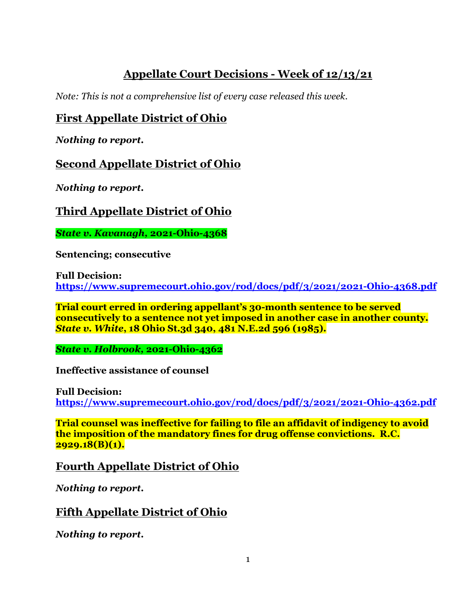# **Appellate Court Decisions - Week of 12/13/21**

*Note: This is not a comprehensive list of every case released this week.*

## **First Appellate District of Ohio**

*Nothing to report.*

**Second Appellate District of Ohio**

*Nothing to report.*

# **Third Appellate District of Ohio**

*State v. Kavanagh,* **2021-Ohio-4368**

**Sentencing; consecutive**

**Full Decision: <https://www.supremecourt.ohio.gov/rod/docs/pdf/3/2021/2021-Ohio-4368.pdf>**

**Trial court erred in ordering appellant's 30-month sentence to be served consecutively to a sentence not yet imposed in another case in another county.** *State v. White***, 18 Ohio St.3d 340, 481 N.E.2d 596 (1985).** 

*State v. Holbrook,* **2021-Ohio-4362**

**Ineffective assistance of counsel**

**Full Decision: <https://www.supremecourt.ohio.gov/rod/docs/pdf/3/2021/2021-Ohio-4362.pdf>**

**Trial counsel was ineffective for failing to file an affidavit of indigency to avoid the imposition of the mandatory fines for drug offense convictions. R.C. 2929.18(B)(1).**

#### **Fourth Appellate District of Ohio**

*Nothing to report.*

## **Fifth Appellate District of Ohio**

*Nothing to report.*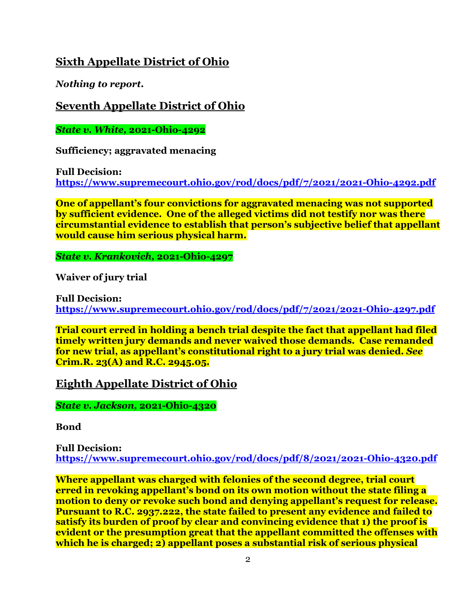#### **Sixth Appellate District of Ohio**

*Nothing to report.*

**Seventh Appellate District of Ohio**

*State v. White,* **2021-Ohio-4292**

**Sufficiency; aggravated menacing**

**Full Decision: <https://www.supremecourt.ohio.gov/rod/docs/pdf/7/2021/2021-Ohio-4292.pdf>**

**One of appellant's four convictions for aggravated menacing was not supported by sufficient evidence. One of the alleged victims did not testify nor was there circumstantial evidence to establish that person's subjective belief that appellant would cause him serious physical harm.** 

*State v. Krankovich,* **2021-Ohio-4297**

**Waiver of jury trial**

**Full Decision: <https://www.supremecourt.ohio.gov/rod/docs/pdf/7/2021/2021-Ohio-4297.pdf>**

**Trial court erred in holding a bench trial despite the fact that appellant had filed timely written jury demands and never waived those demands. Case remanded for new trial, as appellant's constitutional right to a jury trial was denied.** *See*  **Crim.R. 23(A) and R.C. 2945.05.** 

**Eighth Appellate District of Ohio**

*State v. Jackson,* **2021-Ohio-4320**

**Bond**

**Full Decision: <https://www.supremecourt.ohio.gov/rod/docs/pdf/8/2021/2021-Ohio-4320.pdf>**

**Where appellant was charged with felonies of the second degree, trial court erred in revoking appellant's bond on its own motion without the state filing a motion to deny or revoke such bond and denying appellant's request for release. Pursuant to R.C. 2937.222, the state failed to present any evidence and failed to satisfy its burden of proof by clear and convincing evidence that 1) the proof is evident or the presumption great that the appellant committed the offenses with which he is charged; 2) appellant poses a substantial risk of serious physical**